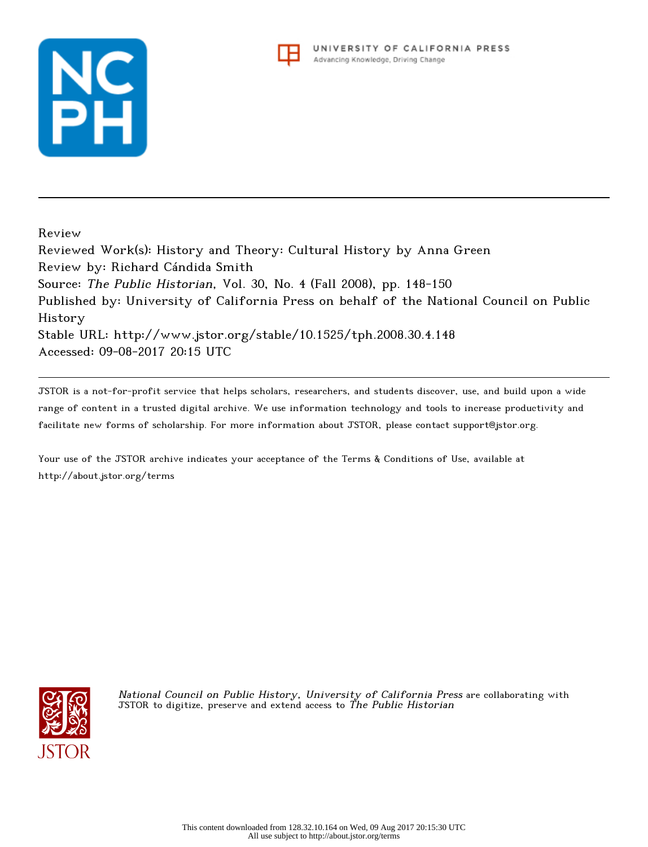

UNIVERSITY OF CALIFORNIA PRESS Advancing Knowledge, Driving Change



Review

Reviewed Work(s): History and Theory: Cultural History by Anna Green Review by: Richard Cándida Smith Source: The Public Historian, Vol. 30, No. 4 (Fall 2008), pp. 148-150 Published by: University of California Press on behalf of the National Council on Public History Stable URL: http://www.jstor.org/stable/10.1525/tph.2008.30.4.148 Accessed: 09-08-2017 20:15 UTC

JSTOR is a not-for-profit service that helps scholars, researchers, and students discover, use, and build upon a wide range of content in a trusted digital archive. We use information technology and tools to increase productivity and facilitate new forms of scholarship. For more information about JSTOR, please contact support@jstor.org.

Your use of the JSTOR archive indicates your acceptance of the Terms & Conditions of Use, available at http://about.jstor.org/terms



National Council on Public History, University of California Press are collaborating with JSTOR to digitize, preserve and extend access to The Public Historian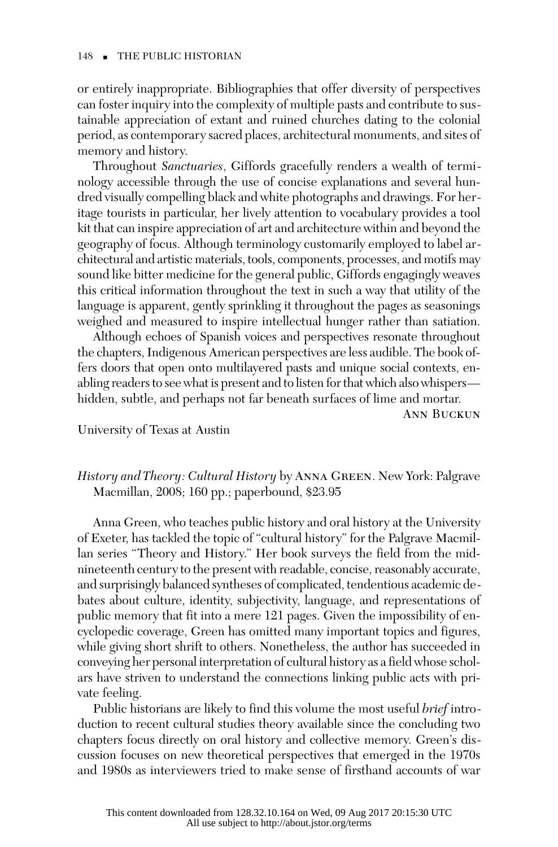## 148 **• THE PUBLIC HISTORIAN**

or entirely inappropriate. Bibliographies that offer diversity of perspectives can foster inquiry into the complexity of multiple pasts and contribute to sustainable appreciation of extant and ruined churches dating to the colonial period, as contemporary sacred places, architectural monuments, and sites of memory and history.

Throughout *Sanctuaries*, Giffords gracefully renders a wealth of terminology accessible through the use of concise explanations and several hundred visually compelling black and white photographs and drawings. For heritage tourists in particular, her lively attention to vocabulary provides a tool kit that can inspire appreciation of art and architecture within and beyond the geography of focus. Although terminology customarily employed to label architectural and artistic materials, tools, components, processes, and motifs may sound like bitter medicine for the general public, Giffords engagingly weaves this critical information throughout the text in such a way that utility of the language is apparent, gently sprinkling it throughout the pages as seasonings weighed and measured to inspire intellectual hunger rather than satiation.

Although echoes of Spanish voices and perspectives resonate throughout the chapters, Indigenous American perspectives are less audible. The book offers doors that open onto multilayered pasts and unique social contexts, enabling readers to see what is present and to listen for that which also whispers hidden, subtle, and perhaps not far beneath surfaces of lime and mortar.

Ann Buckun

University of Texas at Austin

*History andTheory: Cultural History* by Anna Green. New York: Palgrave Macmillan, 2008; 160 pp.; paperbound, \$23.95

Anna Green, who teaches public history and oral history at the University of Exeter, has tackled the topic of "cultural history" for the Palgrave Macmillan series "Theory and History." Her book surveys the field from the midnineteenth century to the present with readable, concise, reasonably accurate, and surprisingly balanced syntheses of complicated, tendentious academic debates about culture, identity, subjectivity, language, and representations of public memory that fit into a mere 121 pages. Given the impossibility of encyclopedic coverage, Green has omitted many important topics and figures, while giving short shrift to others. Nonetheless, the author has succeeded in conveying her personal interpretation of cultural history as a fieldwhose scholars have striven to understand the connections linking public acts with private feeling.

Public historians are likely to find this volume the most useful *brief* introduction to recent cultural studies theory available since the concluding two chapters focus directly on oral history and collective memory. Green's discussion focuses on new theoretical perspectives that emerged in the 1970s and 1980s as interviewers tried to make sense of firsthand accounts of war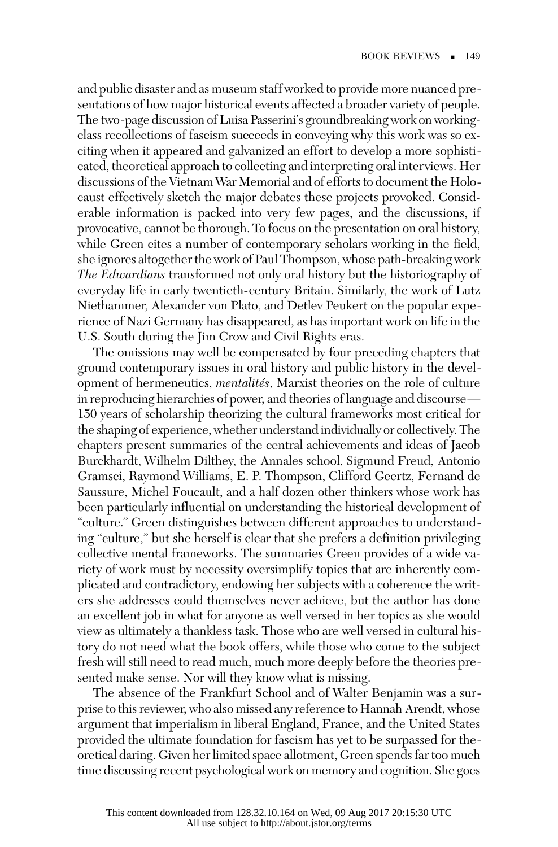and public disaster and as museum staff worked to provide more nuanced presentations of how major historical events affected a broader variety of people. The two-page discussion of Luisa Passerini's groundbreakingwork onworkingclass recollections of fascism succeeds in conveying why this work was so exciting when it appeared and galvanized an effort to develop a more sophisticated, theoretical approach to collecting and interpreting oral interviews. Her discussions of the Vietnam War Memorial and of efforts to document the Holocaust effectively sketch the major debates these projects provoked. Considerable information is packed into very few pages, and the discussions, if provocative, cannot be thorough. To focus on the presentation on oral history, while Green cites a number of contemporary scholars working in the field, she ignores altogether the work of Paul Thompson, whose path-breaking work *The Edwardians* transformed not only oral history but the historiography of everyday life in early twentieth-century Britain. Similarly, the work of Lutz Niethammer, Alexander von Plato, and Detlev Peukert on the popular experience of Nazi Germany has disappeared, as has important work on life in the U.S. South during the Jim Crow and Civil Rights eras.

The omissions may well be compensated by four preceding chapters that ground contemporary issues in oral history and public history in the development of hermeneutics, *mentalités*, Marxist theories on the role of culture in reproducing hierarchies of power, and theories of language and discourse— 150 years of scholarship theorizing the cultural frameworks most critical for the shaping of experience,whether understand individually or collectively. The chapters present summaries of the central achievements and ideas of Jacob Burckhardt, Wilhelm Dilthey, the Annales school, Sigmund Freud, Antonio Gramsci, Raymond Williams, E. P. Thompson, Clifford Geertz, Fernand de Saussure, Michel Foucault, and a half dozen other thinkers whose work has been particularly influential on understanding the historical development of "culture." Green distinguishes between different approaches to understanding "culture," but she herself is clear that she prefers a definition privileging collective mental frameworks. The summaries Green provides of a wide variety of work must by necessity oversimplify topics that are inherently complicated and contradictory, endowing her subjects with a coherence the writers she addresses could themselves never achieve, but the author has done an excellent job in what for anyone as well versed in her topics as she would view as ultimately a thankless task. Those who are well versed in cultural history do not need what the book offers, while those who come to the subject fresh will still need to read much, much more deeply before the theories presented make sense. Nor will they know what is missing.

The absence of the Frankfurt School and of Walter Benjamin was a surprise to this reviewer, who also missed any reference to Hannah Arendt, whose argument that imperialism in liberal England, France, and the United States provided the ultimate foundation for fascism has yet to be surpassed for theoretical daring. Given her limited space allotment, Green spends far too much time discussing recent psychological work on memory and cognition. She goes